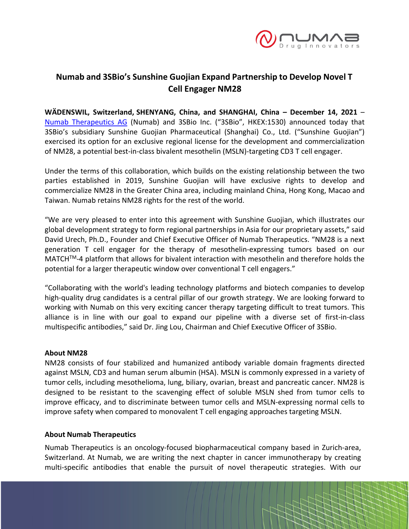

# **Numab and 3SBio's Sunshine Guojian Expand Partnership to Develop Novel T Cell Engager NM28**

**WÄDENSWIL, Switzerland, SHENYANG, China, and SHANGHAI, China – December 14, 2021** – [Numab Therapeutics AG](https://www.numab.com/) (Numab) and 3SBio Inc. ("3SBio", HKEX:1530) announced today that 3SBio's subsidiary Sunshine Guojian Pharmaceutical (Shanghai) Co., Ltd. ("Sunshine Guojian") exercised its option for an exclusive regional license for the development and commercialization of NM28, a potential best-in-class bivalent mesothelin (MSLN)-targeting CD3 T cell engager.

Under the terms of this collaboration, which builds on the existing relationship between the two parties established in 2019, Sunshine Guojian will have exclusive rights to develop and commercialize NM28 in the Greater China area, including mainland China, Hong Kong, Macao and Taiwan. Numab retains NM28 rights for the rest of the world.

"We are very pleased to enter into this agreement with Sunshine Guojian, which illustrates our global development strategy to form regional partnerships in Asia for our proprietary assets," said David Urech, Ph.D., Founder and Chief Executive Officer of Numab Therapeutics. "NM28 is a next generation T cell engager for the therapy of mesothelin-expressing tumors based on our MATCHTM-4 platform that allows for bivalent interaction with mesothelin and therefore holds the potential for a larger therapeutic window over conventional T cell engagers."

"Collaborating with the world's leading technology platforms and biotech companies to develop high-quality drug candidates is a central pillar of our growth strategy. We are looking forward to working with Numab on this very exciting cancer therapy targeting difficult to treat tumors. This alliance is in line with our goal to expand our pipeline with a diverse set of first-in-class multispecific antibodies," said Dr. Jing Lou, Chairman and Chief Executive Officer of 3SBio.

## **About NM28**

NM28 consists of four stabilized and humanized antibody variable domain fragments directed against MSLN, CD3 and human serum albumin (HSA). MSLN is commonly expressed in a variety of tumor cells, including mesothelioma, lung, biliary, ovarian, breast and pancreatic cancer. NM28 is designed to be resistant to the scavenging effect of soluble MSLN shed from tumor cells to improve efficacy, and to discriminate between tumor cells and MSLN-expressing normal cells to improve safety when compared to monovalent T cell engaging approaches targeting MSLN.

## **About Numab Therapeutics**

Numab Therapeutics is an oncology-focused biopharmaceutical company based in Zurich-area, Switzerland. At Numab, we are writing the next chapter in cancer immunotherapy by creating multi-specific antibodies that enable the pursuit of novel therapeutic strategies. With our